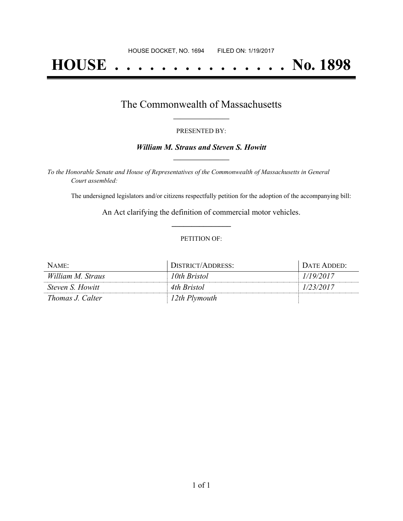# **HOUSE . . . . . . . . . . . . . . . No. 1898**

## The Commonwealth of Massachusetts **\_\_\_\_\_\_\_\_\_\_\_\_\_\_\_\_\_**

#### PRESENTED BY:

#### *William M. Straus and Steven S. Howitt* **\_\_\_\_\_\_\_\_\_\_\_\_\_\_\_\_\_**

*To the Honorable Senate and House of Representatives of the Commonwealth of Massachusetts in General Court assembled:*

The undersigned legislators and/or citizens respectfully petition for the adoption of the accompanying bill:

An Act clarifying the definition of commercial motor vehicles. **\_\_\_\_\_\_\_\_\_\_\_\_\_\_\_**

#### PETITION OF:

| $N$ AME:                | DISTRICT/ADDRESS: | DATE ADDED: |
|-------------------------|-------------------|-------------|
| William M. Straus       | 10th Bristol      | 1/19/2017   |
| <i>Steven S. Howitt</i> | 4th Bristol       | 1/23/2017   |
| Thomas J. Calter        | 12th Plymouth     |             |